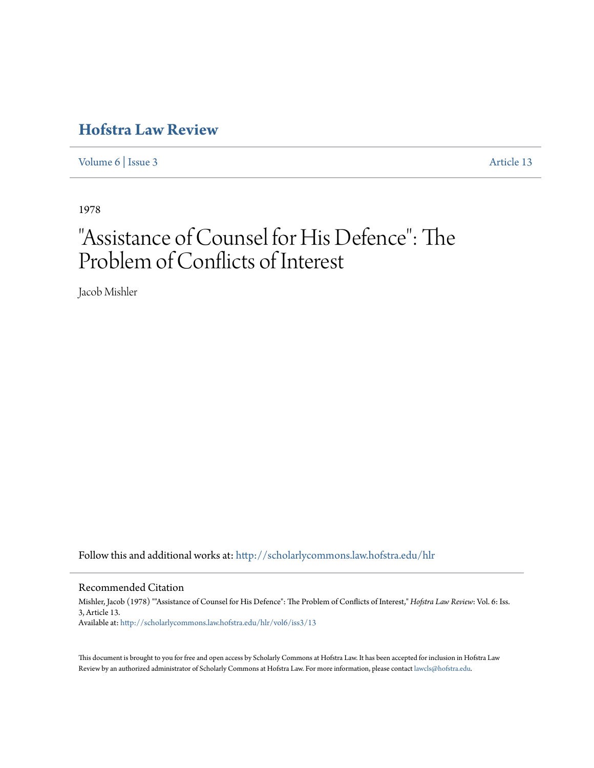# **[Hofstra Law Review](http://scholarlycommons.law.hofstra.edu/hlr?utm_source=scholarlycommons.law.hofstra.edu%2Fhlr%2Fvol6%2Fiss3%2F13&utm_medium=PDF&utm_campaign=PDFCoverPages)**

[Volume 6](http://scholarlycommons.law.hofstra.edu/hlr/vol6?utm_source=scholarlycommons.law.hofstra.edu%2Fhlr%2Fvol6%2Fiss3%2F13&utm_medium=PDF&utm_campaign=PDFCoverPages) | [Issue 3](http://scholarlycommons.law.hofstra.edu/hlr/vol6/iss3?utm_source=scholarlycommons.law.hofstra.edu%2Fhlr%2Fvol6%2Fiss3%2F13&utm_medium=PDF&utm_campaign=PDFCoverPages) [Article 13](http://scholarlycommons.law.hofstra.edu/hlr/vol6/iss3/13?utm_source=scholarlycommons.law.hofstra.edu%2Fhlr%2Fvol6%2Fiss3%2F13&utm_medium=PDF&utm_campaign=PDFCoverPages)

1978

# "Assistance of Counsel for His Defence": The Problem of Conflicts of Interest

Jacob Mishler

Follow this and additional works at: [http://scholarlycommons.law.hofstra.edu/hlr](http://scholarlycommons.law.hofstra.edu/hlr?utm_source=scholarlycommons.law.hofstra.edu%2Fhlr%2Fvol6%2Fiss3%2F13&utm_medium=PDF&utm_campaign=PDFCoverPages)

## Recommended Citation

Mishler, Jacob (1978) ""Assistance of Counsel for His Defence": The Problem of Conflicts of Interest," *Hofstra Law Review*: Vol. 6: Iss. 3, Article 13. Available at: [http://scholarlycommons.law.hofstra.edu/hlr/vol6/iss3/13](http://scholarlycommons.law.hofstra.edu/hlr/vol6/iss3/13?utm_source=scholarlycommons.law.hofstra.edu%2Fhlr%2Fvol6%2Fiss3%2F13&utm_medium=PDF&utm_campaign=PDFCoverPages)

This document is brought to you for free and open access by Scholarly Commons at Hofstra Law. It has been accepted for inclusion in Hofstra Law Review by an authorized administrator of Scholarly Commons at Hofstra Law. For more information, please contact [lawcls@hofstra.edu](mailto:lawcls@hofstra.edu).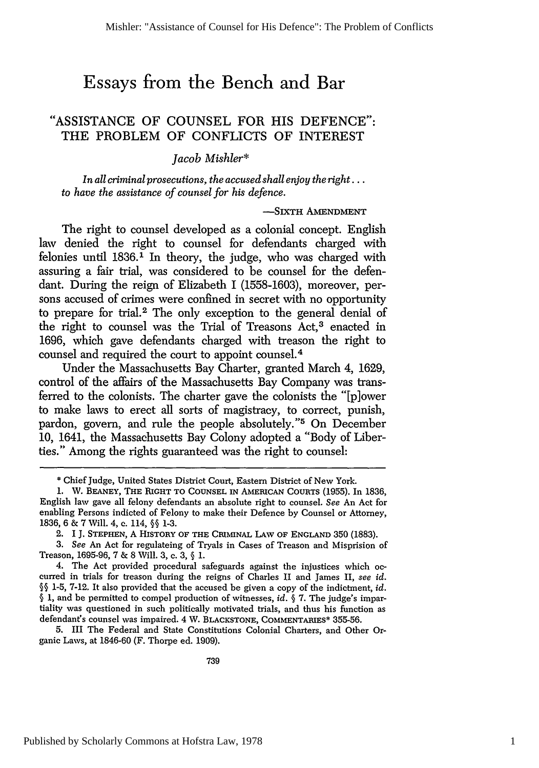# **Essays from the Bench and Bar**

## **"ASSISTANCE** OF **COUNSEL** FOR HIS **DEFENCE":** THE PROBLEM OF **CONFLICTS** OF INTEREST

*Jacob Mishler\**

*In all criminal prosecutions, the accused* shall enjoy the *right... to have the assistance of counsel for his defence.*

### **-SIXTH AMENDMENT**

The right to counsel developed as a colonial concept. English law denied the right to counsel for defendants charged with felonies until 1836.1 In theory, the judge, who was charged with assuring a fair trial, was considered to be counsel for the defendant. During the reign of Elizabeth I (1558-1603), moreover, persons accused of crimes were confined in secret with no opportunity to prepare for trial.2 The only exception to the general denial of the right to counsel was the Trial of Treasons Act,<sup>3</sup> enacted in 1696, which gave defendants charged with treason the right to counsel and required the court to appoint counsel.<sup>4</sup>

Under the Massachusetts Bay Charter, granted March 4, 1629, control of the affairs of the Massachusetts Bay Company was transferred to the colonists. The charter gave the colonists the "[p]ower to make laws to erect all sorts of magistracy, to correct, punish, pardon, govern, and rule the people absolutely."<sup>5</sup> On December 10, 1641, the Massachusetts Bay Colony adopted a "Body of Liberties." Among the rights guaranteed was the right to counsel:

5. III The Federal and State Constitutions Colonial Charters, and Other Organic Laws, at 1846-60 (F. Thorpe ed. 1909).

<sup>\*</sup> Chief Judge, United States District Court, Eastern District of New York.

**<sup>1.</sup>** W. **BEANEY,** THE RIGHT **TO COUNSEL IN AMERICAN** COURTS (1955). In 1836, English law gave all felony defendants an absolute right to counsel. *See* An Act for enabling Persons indicted of Felony to make their Defence by Counsel or Attorney, 1836, 6 & 7 Will. 4, **c.** 114, §§ 1-3.

<sup>2.</sup> **1 J. STEPHEN,** A HISTORY OF THE **CRIMINAL LAw** OF **ENGLAND** 350 (1883).

*<sup>3.</sup> See* An Act for regulateing of Tryals in Cases of Treason and Misprision of Treason, 1695-96, 7 & 8 Will. 3, c. 3, § 1.

<sup>4.</sup> The Act provided procedural safeguards against the injustices which occurred in trials for treason during the reigns of Charles II and James II, *see id.* §§ 1-5, 7-12. It also provided that the accused be given a copy of the indictment, *id.* § 1, and be permitted to compel production of witnesses, *id.* § 7. The judge's impartiality was questioned in such politically motivated trials, and thus his function as defendant's counsel was impaired. 4 W. **BLACKSTONE, COMMENTARIES\*** 355-56.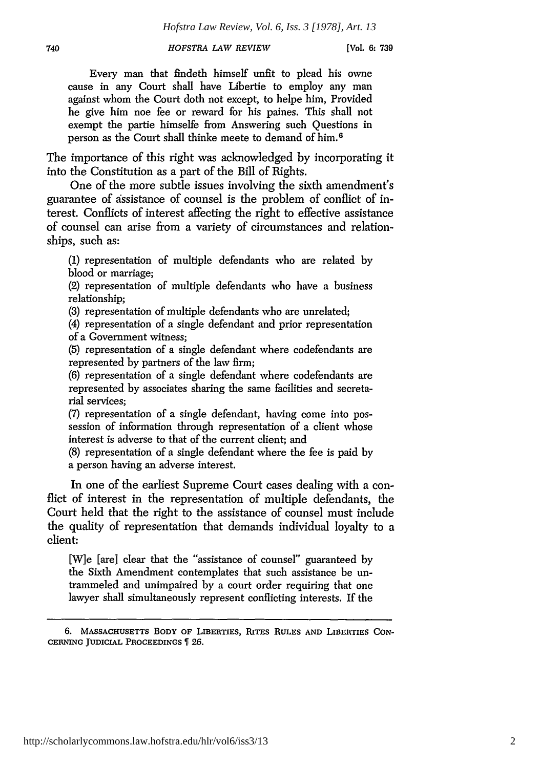*HOFSTRA LAW REVIEW*

Every man that findeth himself unfit to plead his owne cause in any Court shall have Libertie to employ any man against whom the Court doth not except, to helpe him, Provided he give him noe fee or reward for his paines. This shall not exempt the partie himselfe from Answering such Questions in person as the Court shall thinke meete to demand of him.<sup>6</sup>

The importance of this right was acknowledged by incorporating it into the Constitution as a part of the Bill of Rights.

One of the more subtle issues involving the sixth amendment's guarantee of assistance of counsel is the problem of conflict of interest. Conflicts of interest affecting the right to effective assistance of counsel can arise from a variety of circumstances and relationships, such as:

(1) representation of multiple defendants who are related by blood or marriage;

(2) representation of multiple defendants who have a business relationship;

(3) representation of multiple defendants who are unrelated;

(4) representation of a single defendant and prior representation of a Government witness;

(5) representation of a single defendant where codefendants are represented by partners of the law firm;

(6) representation of a single defendant where codefendants are represented by associates sharing the same facilities and secretarial services;

(7) representation of a single defendant, having come into possession of information through representation of a client whose interest is adverse to that of the current client; and

(8) representation of a single defendant where the fee is paid by a person having an adverse interest.

In one of the earliest Supreme Court cases dealing with a conflict of interest in the representation of multiple defendants, the Court held that the right to the assistance of counsel must include the quality of representation that demands individual loyalty to a client:

[W]e [are] clear that the "assistance of counsel" guaranteed by the Sixth Amendment contemplates that such assistance be untrammeled and unimpaired by a court order requiring that one lawyer shall simultaneously represent conflicting interests. If the

**<sup>6.</sup> MASSACHUSETTS BODY** OF **LIBERTIES, RITES RULES AND LIBERTIES CON-CERNING JUDICIAL PROCEEDINGS 126.**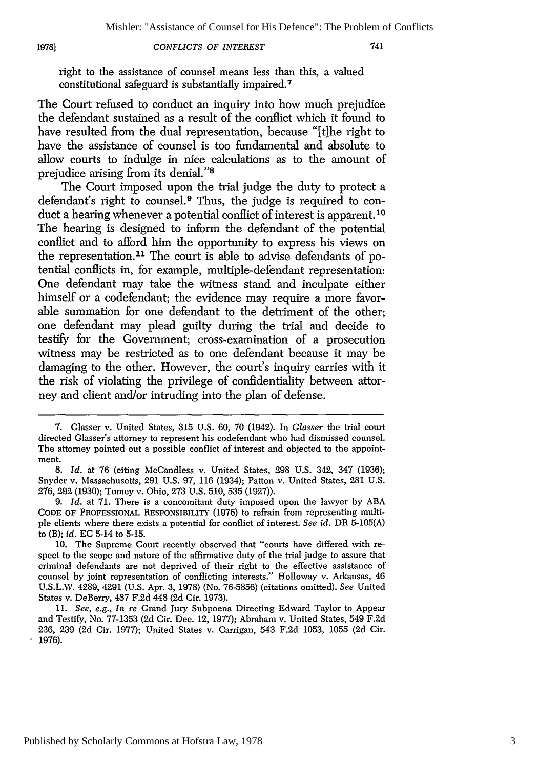#### 1978]

right to the assistance of counsel means less than this, a valued constitutional safeguard is substantially impaired. <sup>7</sup>

The Court refused to conduct an inquiry into how much prejudice the defendant sustained as a result of the conflict which it found to have resulted from the dual representation, because "[t]he right to have the assistance of counsel is too fundamental and absolute to allow courts to indulge in nice calculations as to the amount of prejudice arising from its denial."<sup>8</sup>

The Court imposed upon the trial judge the duty to protect a defendant's right to counsel.9 Thus, the judge is required to conduct a hearing whenever a potential conflict of interest is apparent.<sup>10</sup> The hearing is designed to inform the defendant of the potential conflict and to afford him the opportunity to express his views on the representation.<sup>11</sup> The court is able to advise defendants of potential conflicts in, for example, multiple-defendant representation: One defendant may take the witness stand and inculpate either himself or a codefendant; the evidence may require a more favorable summation for one defendant to the detriment of the other; one defendant may plead guilty during the trial and decide to testify for the Government; cross-examination of a prosecution witness may be restricted as to one defendant because it may be damaging to the other. However, the court's inquiry carries with it the risk of violating the privilege of confidentiality between attorney and client and/or intruding into the plan of defense.

<sup>7.</sup> Glasser v. United States, 315 U.S. 60, 70 (1942). In *Glasser* the trial court directed Glasser's attorney to represent his codefendant who had dismissed counsel. The attorney pointed out a possible conflict of interest and objected to the appointment.

<sup>8.</sup> *Id.* at 76 (citing McCandless v. United States, 298 U.S. 342, 347 (1936); Snyder v. Massachusetts, 291 U.S. 97, 116 (1934); Patton v. United States, 281 U.S. 276, 292 (1930); Tumey v. Ohio, 273 U.S. 510, 535 (1927)).

<sup>9.</sup> *Id.* at 71. There is a concomitant duty imposed upon the lawyer by ABA **CODE OF PROFESSIONAL RESPONSIBILITY** (1976) to refrain from representing multiple clients where there exists a potential for conflict of interest. *See id.* DR 5-105(A) to (B); *id.* EC 5-14 to 5-15.

<sup>10.</sup> The Supreme Court recently observed that "courts have differed with respect to the scope and nature of the affirmative duty of the trial judge to assure that criminal defendants are not deprived of their right to the effective assistance of counsel by joint representation of conflicting interests." Holloway v. Arkansas, 46 U.S.L.W. 4289, 4291 (U.S. Apr. 3, 1978) (No. 76-5856) (citations omitted). *See* United States v. DeBerry, 487 F.2d 448 (2d Cir. 1973).

<sup>11.</sup> *See, e.g., In re* Grand Jury Subpoena Directing Edward Taylor to Appear and Testify, No. 77-1353 (2d Cir. Dec. 12, 1977); Abraham v. United States, 549 F.2d 236, 239 (2d Cir. 1977); United States v. Carrigan, 543 F.2d 1053, 1055 (2d Cir. 1976).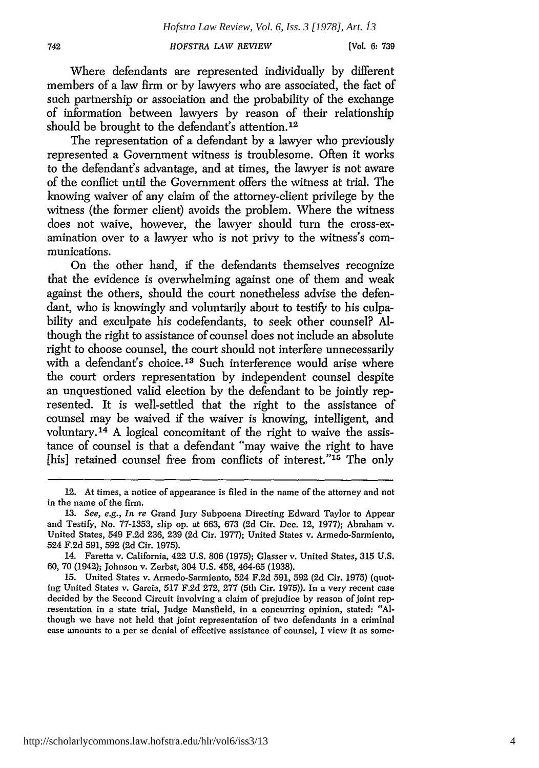*HOFSTRA LAW REVIEW*

*[Vol.* **6: 739**

Where defendants are represented individually by different members of a law firm or by lawyers who are associated, the fact of such partnership or association and the probability of the exchange of information between lawyers by reason of their relationship should be brought to the defendant's attention.<sup>12</sup>

The representation of a defendant by a lawyer who previously represented a Government witness is troublesome. Often it works to the defendant's advantage, and at times, the lawyer is not aware of the conflict until the Government offers the witness at trial. The knowing waiver of any claim of the attorney-client privilege by the witness (the former client) avoids the problem. Where the witness does not waive, however, the lawyer should turn the cross-examination over to a lawyer who is not privy to the witness's communications.

On the other hand, if the defendants themselves recognize that the evidence is overwhelming against one of them and weak against the others, should the court nonetheless advise the defendant, who is knowingly and voluntarily about to testify to his culpability and exculpate his codefendants, to seek other counsel? Although the right to assistance of counsel does not include an absolute right to choose counsel, the court should not interfere unnecessarily with a defendant's choice.<sup>13</sup> Such interference would arise where the court orders representation by independent counsel despite an unquestioned valid election by the defendant to be jointly represented. It is well-settled that the right to the assistance of counsel may be waived if the waiver is knowing, intelligent, and voluntary. 14 A logical concomitant of the right to waive the assistance of counsel is that a defendant "may waive the right to have [his] retained counsel free from conflicts of interest."<sup>15</sup> The only

<sup>12.</sup> At times, a notice of appearance is filed in the name of the attorney and not in the name of the firm.

<sup>13.</sup> *See, e.g., In re* Grand Jury Subpoena Directing Edward Taylor to Appear and Testify, No. 77-1353, slip op. at 663, 673 (2d Cir. Dec. 12, 1977); Abraham v. United States, 549 F.2d 236, 239 (2d Cir. 1977); United States v. Armedo-Sarmiento, 524 F.2d 591, 592 (2d Cir. 1975).

<sup>14.</sup> Faretta v. California, 422 U.S. 806 (1975); Glasser v. United States, 315 U.S. 60, 70 (1942); Johnson v. Zerbst, 304 U.S. 458, 464-65 (1938).

<sup>15.</sup> United States v. Annedo-Sarmiento, 524 F.2d 591, 592 (2d Cir. 1975) (quoting United States v. Garcia, 517 F.2d 272, 277 (5th Cir. 1975)). In a very recent case decided by the Second Circuit involving a claim of prejudice by reason of joint representation in a state trial, Judge Mansfield, in a concurring opinion, stated: "Although we have not held that joint representation of two defendants in a criminal case amounts to a per se denial of effective assistance of counsel, I view it as some-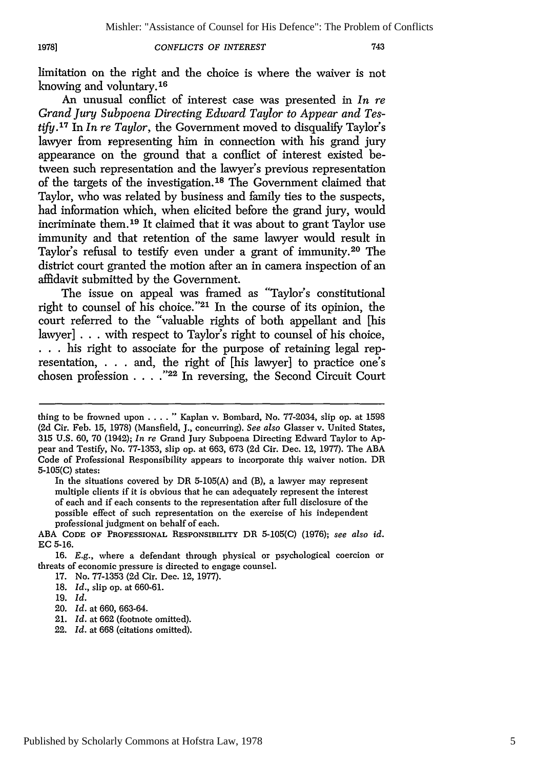### **19781**

*CONFLICTS OF INTEREST*

limitation on the right and the choice is where the waiver is not knowing and voluntary. <sup>16</sup>

An unusual conflict of interest case was presented in *In re Grand Jury Subpoena Directing Edward Taylor to Appear and Testify. <sup>17</sup>*In *In re Taylor,* the Government moved to disqualify Taylor's lawyer from representing him in connection with his grand jury appearance on the ground that a conflict of interest existed between such representation and the lawyer's previous representation of the targets of the investigation.<sup>18</sup> The Government claimed that Taylor, who was related by business and family ties to the suspects, had information which, when elicited before the grand jury, would incriminate them. 19 It claimed that it was about to grant Taylor use immunity and that retention of the same lawyer would result in Taylor's refusal to testify even under a grant of immunity.20 The district court granted the motion after an in camera inspection of an affidavit submitted by the Government.

The issue on appeal was framed as "Taylor's constitutional right to counsel of his choice."<sup>21</sup> In the course of its opinion, the court referred to the "valuable rights of both appellant and [his lawyer] . . . with respect to Taylor's right to counsel of his choice, **. . .** his right to associate for the purpose of retaining legal representation, . . . and, the right of [his lawyer] to practice one's chosen profession **.... "22** In reversing, the Second Circuit Court

thing to be frowned upon  $\ldots$ ...." Kaplan v. Bombard, No. 77-2034, slip op. at 1598 (2d Cir. Feb. 15, 1978) (Mansfield, J., concurring). *See also* Glasser v. United States, 315 U.S. 60, 70 (1942); *In re* Grand Jury Subpoena Directing Edward Taylor to Appear and Testify, No. 77-1353, slip op. at 663, 673 (2d Cir. Dec. 12, 1977). The ABA Code of Professional Responsibility appears to incorporate thip waiver notion. DR 5-105(C) states:

In the situations covered by DR 5-105(A) and (B), a lawyer may represent multiple clients if it is obvious that he can adequately represent the interest of each and if each consents to the representation after full disclosure of the possible effect of such representation on the exercise of his independent professional judgment on behalf of each.

ABA **CODE** OF **PROFESSIONAL RESPONSIBILITY** DR 5-105(C) (1976); see also *id.* EC 5-16.

<sup>16.</sup> E.g., where a defendant through physical or psychological coercion or threats of economic pressure is directed to engage counsel.

<sup>17.</sup> No. 77-1353 (2d Cir. Dec. 12, 1977).

<sup>18.</sup> *Id.,* slip op. at 660-61.

<sup>19.</sup> *Id.*

<sup>20.</sup> *Id.* at 660, 663-64.

<sup>21.</sup> *Id.* at 662 (footnote omitted).

<sup>22.</sup> *Id.* at 668 (citations omitted).